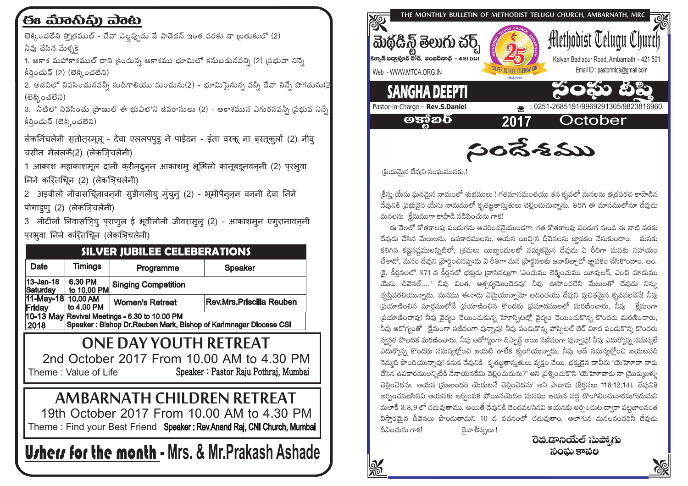## ಈ ಮಾನಿವಿ) ವಾಟ

లెక్కించలేని స్మోతముల్ - దేవా ఎలఫ్పుడు నే పాడెదన్ ఇంత వరకు నా బ్రతుకులో (2) నీవు చేసిన మేళ్ళకె

1. ఆకాశ మహాకాశముల్ దాని <sub>(</sub>కిందున్న ఆకాశము భూమిలో కనుబడునవన్ని (2) <sub>(</sub>పభువా నిన్నే కీరించున్ (2) (లెక్కించలేని)

2. అడవిలో నివసించునవన్నీ సుడిగాలియు మంచును(2) - భూమిపెనున్న వన్నీ దేవా నిన్నే పొగడును(2 (లెక్కించలేని)

3. నీటిలో నివసించు ౹పాణుల్ ఈ భువిలోని జీవరాసులు (2) - ఆకాశమున ఎగురనవన్నీ స్టభువ నిన్నే కీరించున్ (లెక్కించలేని)

लेकनिंचलेनी सतोतरमूलू - देवा एललपपुडु ने पाड़ेदन - इंता वरकू ना बरतूकुलों (2) नीवू चसीन मेललकै(2) (लेकजिचलेनी)

1 आकाश महाकाशमूल दानी करीनदुनन आकाशम् भूमिलो कानूबइनवननी (2) परभूवा निने करितचिन (2) (लेकज़िचलेनी)

2 अड़वीलो नीवासचिूंनावन् सुडीगलीयु मुंचुनु (2) - भूमीपैनुन्न वननी देवा निने पोगाइणु (2) (लेकज़िचलेनी)

3 नीटीलों निवासञ्चि पुराणूल ई भूवीलोनी जीवरासुलु (2) - आकाशमुन एगूरानावन्नी परभूवा निने करितचिन (लेकज़िचलेनी)

| <b>SILVER JUBILEE CELEBERATIONS</b>                                                                                        |                        |                            |                          |  |  |
|----------------------------------------------------------------------------------------------------------------------------|------------------------|----------------------------|--------------------------|--|--|
| Date                                                                                                                       | <b>Timings</b>         | Programme                  | <b>Speaker</b>           |  |  |
| 13-Jan-18<br>Saturday                                                                                                      | 6.30 PM<br>to 10.00 PM | <b>Singing Competition</b> |                          |  |  |
| 11-May-18  10.00 AM<br>Friday                                                                                              | to 4.00 PM             | <b>Women's Retreat</b>     | Rev.Mrs.Priscilla Reuben |  |  |
| 10-13 May Revival Meetings - 6.30 to 10.00 PM<br>Speaker: Bishop Dr. Reuben Mark, Bishop of Karimnagar Diocese CSI<br>2018 |                        |                            |                          |  |  |
| ONE DAY YOUTH RETREAT                                                                                                      |                        |                            |                          |  |  |
| 2nd October 2017 From 10.00 AM to 4.30 PM                                                                                  |                        |                            |                          |  |  |
| Speaker: Pastor Raju Pothraj, Mumbai<br>Theme: Value of Life                                                               |                        |                            |                          |  |  |
| <b>AMBARNATH CHILDREN RETREAT</b>                                                                                          |                        |                            |                          |  |  |
| 19th October 2017 From 10.00 AM to 4.30 PM                                                                                 |                        |                            |                          |  |  |
| Theme: Find your Best Friend Speaker: Rev.Anand Raj, CNI Church, Mumbai                                                    |                        |                            |                          |  |  |
| <b>U</b> rherr for the month - Mrs. & Mr.Prakash Ashade                                                                    |                        |                            |                          |  |  |



సందేశము

(పియమైన దేవుని సంఘమునకు,

।కీసు యేసు ఘనమైన నామంలో శుభములు ! గతమాసమంతయు తన కృపలో మనలను భ్రదపరచి కాపాడిన దేవునికి (పభువైన యేసు నామములో కృతజ్ఞతాస్తుతులు చెల్లించుచున్నాను. తిరిగి ఈ మాసములోనూ దేవుడు మనలను కేమముగా కాపాడి నడిపించును గాక!

ఈ నెలలో కోతకాలఫు పండుగను ఆచరించనైయుందగా, గత కోతకాలపు పండుగ నుండి ఈ నాటి వరకు దేవుడు చేసిన మేలులను, ఉపకారములను, ఆయన యిచ్చిన దీవెనలను జ్ఞాపకం చేసుకుందాం. మనకు కలిగిన కషనషములన్నిటిలో, (శమలు యిబ్బందులలో నమ్మకమైన దేవుడు ఏ రీతిగా మనకు సహాయం చేశాడో, మనం దేవుని పార్థించినప్పుడు ఏ రీతిగా మన ప్రార్థనలకు జవాబిచ్చాడో జ్ఞాపకం చేసికొందాం. అం. (కె. కీరనలలో 371 వ కీర్షనలో భక్తుడు (వాసినట్లుగా 'ఎంచుము లెక్మించుము యీవులన్, ఎంచి చూడుము యేసు దీవెనల్....' నీవు వింత, ఆశ్చర్వమెందెదవు! నీవు ఊహించలేని మేలులతో దేవుడు నిన్ను తృషిపరచియున్నాడు. మనము ఈనాడు ఏమైయున్నామో అదంతయు దేవుని వుచితమైన కృపవలనెనే! నీవు (పయాణించిన మార్గములోనే (పయాణించిన కొందరు (పమాదములలో మరణించారు, నీవు) క్రేమంగా (పయాణించావు! నీవు వైద్యం చేయించుకున్న హెూస్పిటల్లో వైద్యం చేయించుకొన్న కొందరు మరణించారు, నీవు ఆరోగ్యంతో క్లేమంగా సజీవంగా వున్నావు! నీవు పండుకొన్న హాస్పిటల్ బెడ్ విూద పండుకొన్న కొందరు స్వస్థత పొందక మరణించారు, నీవు ఆరోగ్యంగా డిస్పార్ట్ అయి సజీవంగా వున్నావు! నీవు ఎదుర్కొన్న సమస్యలే ఎదుర్కొన్న కొందరు సమస్యల్హోంచి బయటి రాలేక కృంగియున్నారు, నీవు అదే సమస్యల్హోంచి బయటపడి నెమ్మది పొందియున్నావు! కనుక దేవునికి కృతజ్ఞతాస్తుతులు వ్యక్తం చేయి. భక్తుడైన దావీదు 'యెహెూవా నాకు చేసిన ఉపకారములన్నిటికి నేనాయనకేమి చెల్లించుదును?' అని (ప్రశ్నించుకొని 'యెహెూవాకు నా (మొక్కుబళ్ళు చెల్లించెదను. ఆయన (పజలందరి యెదుటనే చెల్లించెదను' అని పాడాడు (కీర్తనలు 116:12,14). దేవునికి అర్చించవలసినవి ఆయనకు అర్చింపక పోయినయెడల మనము ఆయన వద్ద దొంగిలించువారమగుదుమని మలాకీ 3:8,9 లో చదువుతాము. అయితే దేవునికి చెందవలసినవి ఆయనకు అర్పించుట ద్వారా పట్టజాలనంత విసారమైన దీవెనలు పొందుతామని 10 వ వచనంలో చదువుతాం. ఆలాగున మనలనందరినీ దేవుడు గీవించును గాక! దైవాశీస్సులు !

రెవ.డానియేల్ సుప్యాగు సంమ కాపలి